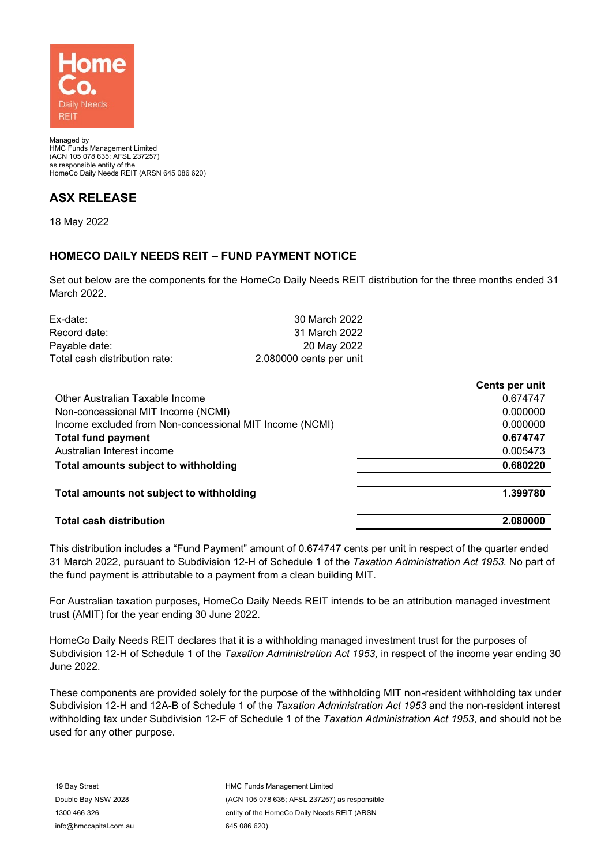

Managed by HMC Funds Management Limited (ACN 105 078 635; AFSL 237257) as responsible entity of the HomeCo Daily Needs REIT (ARSN 645 086 620)

## **ASX RELEASE**

18 May 2022

## **HOMECO DAILY NEEDS REIT – FUND PAYMENT NOTICE**

Set out below are the components for the HomeCo Daily Needs REIT distribution for the three months ended 31 March 2022.

| 30 March 2022           |
|-------------------------|
| 31 March 2022           |
| 20 May 2022             |
| 2.080000 cents per unit |
|                         |

|                                                         | Cents per unit |
|---------------------------------------------------------|----------------|
| Other Australian Taxable Income                         | 0.674747       |
| Non-concessional MIT Income (NCMI)                      | 0.000000       |
| Income excluded from Non-concessional MIT Income (NCMI) | 0.000000       |
| <b>Total fund payment</b>                               | 0.674747       |
| Australian Interest income                              | 0.005473       |
| Total amounts subject to withholding                    | 0.680220       |
| Total amounts not subject to withholding                | 1.399780       |
| <b>Total cash distribution</b>                          | 2.080000       |

This distribution includes a "Fund Payment" amount of 0.674747 cents per unit in respect of the quarter ended 31 March 2022, pursuant to Subdivision 12-H of Schedule 1 of the *Taxation Administration Act 1953.* No part of the fund payment is attributable to a payment from a clean building MIT.

For Australian taxation purposes, HomeCo Daily Needs REIT intends to be an attribution managed investment trust (AMIT) for the year ending 30 June 2022.

HomeCo Daily Needs REIT declares that it is a withholding managed investment trust for the purposes of Subdivision 12-H of Schedule 1 of the *Taxation Administration Act 1953,* in respect of the income year ending 30 June 2022.

These components are provided solely for the purpose of the withholding MIT non-resident withholding tax under Subdivision 12-H and 12A-B of Schedule 1 of the *Taxation Administration Act 1953* and the non-resident interest withholding tax under Subdivision 12-F of Schedule 1 of the *Taxation Administration Act 1953*, and should not be used for any other purpose.

HMC Funds Management Limited (ACN 105 078 635; AFSL 237257) as responsible entity of the HomeCo Daily Needs REIT (ARSN 645 086 620)